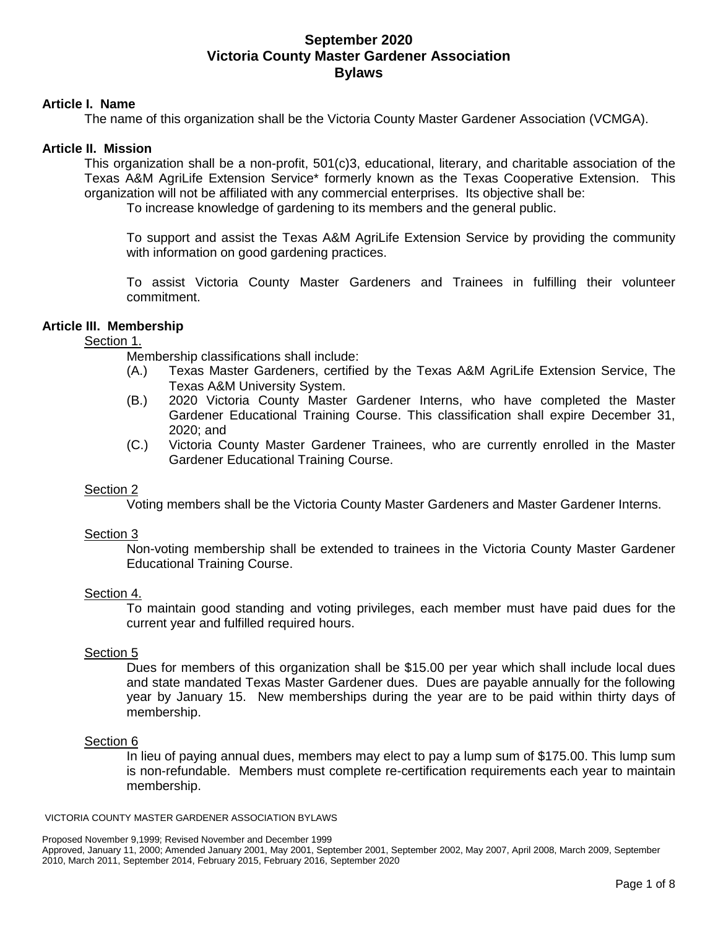# **Article I. Name**

The name of this organization shall be the Victoria County Master Gardener Association (VCMGA).

## **Article II. Mission**

This organization shall be a non-profit, 501(c)3, educational, literary, and charitable association of the Texas A&M AgriLife Extension Service\* formerly known as the Texas Cooperative Extension. This organization will not be affiliated with any commercial enterprises. Its objective shall be:

To increase knowledge of gardening to its members and the general public.

To support and assist the Texas A&M AgriLife Extension Service by providing the community with information on good gardening practices.

To assist Victoria County Master Gardeners and Trainees in fulfilling their volunteer commitment.

# **Article III. Membership**

# Section 1.

Membership classifications shall include:

- (A.) Texas Master Gardeners, certified by the Texas A&M AgriLife Extension Service, The Texas A&M University System.
- (B.) 2020 Victoria County Master Gardener Interns, who have completed the Master Gardener Educational Training Course. This classification shall expire December 31, 2020; and
- (C.) Victoria County Master Gardener Trainees, who are currently enrolled in the Master Gardener Educational Training Course.

# Section 2

Voting members shall be the Victoria County Master Gardeners and Master Gardener Interns.

### Section 3

Non-voting membership shall be extended to trainees in the Victoria County Master Gardener Educational Training Course.

### Section 4.

To maintain good standing and voting privileges, each member must have paid dues for the current year and fulfilled required hours.

### Section 5

Dues for members of this organization shall be \$15.00 per year which shall include local dues and state mandated Texas Master Gardener dues. Dues are payable annually for the following year by January 15. New memberships during the year are to be paid within thirty days of membership.

### Section 6

In lieu of paying annual dues, members may elect to pay a lump sum of \$175.00. This lump sum is non-refundable. Members must complete re-certification requirements each year to maintain membership.

#### VICTORIA COUNTY MASTER GARDENER ASSOCIATION BYLAWS

Approved, January 11, 2000; Amended January 2001, May 2001, September 2001, September 2002, May 2007, April 2008, March 2009, September 2010, March 2011, September 2014, February 2015, February 2016, September 2020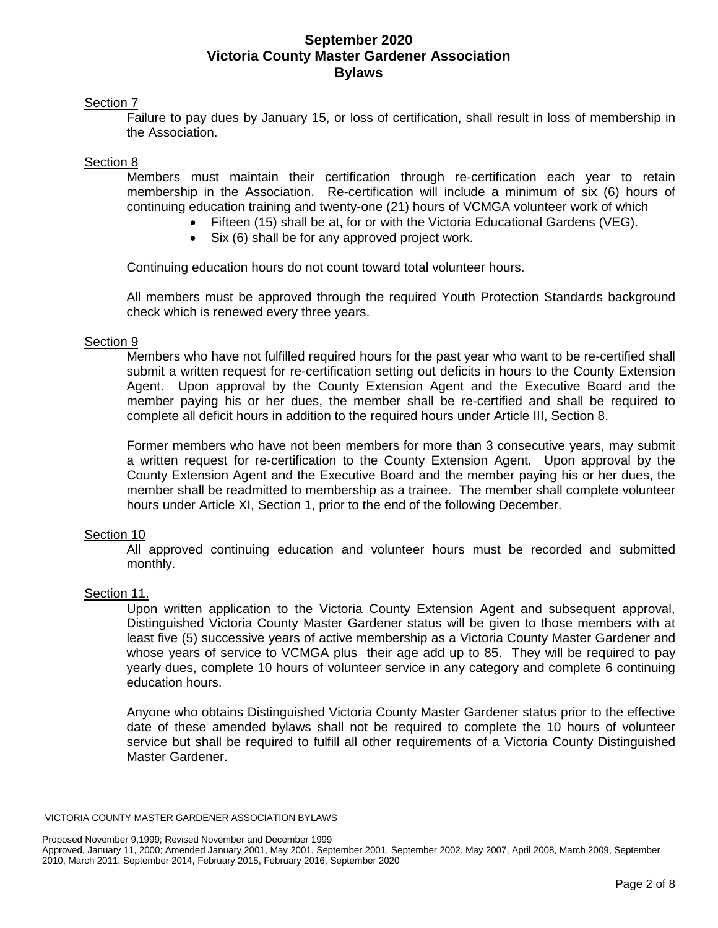# Section 7

Failure to pay dues by January 15, or loss of certification, shall result in loss of membership in the Association.

# Section 8

Members must maintain their certification through re-certification each year to retain membership in the Association. Re-certification will include a minimum of six (6) hours of continuing education training and twenty-one (21) hours of VCMGA volunteer work of which

- Fifteen (15) shall be at, for or with the Victoria Educational Gardens (VEG).
- Six (6) shall be for any approved project work.

Continuing education hours do not count toward total volunteer hours.

All members must be approved through the required Youth Protection Standards background check which is renewed every three years.

### Section 9

Members who have not fulfilled required hours for the past year who want to be re-certified shall submit a written request for re-certification setting out deficits in hours to the County Extension Agent. Upon approval by the County Extension Agent and the Executive Board and the member paying his or her dues, the member shall be re-certified and shall be required to complete all deficit hours in addition to the required hours under Article III, Section 8.

Former members who have not been members for more than 3 consecutive years, may submit a written request for re-certification to the County Extension Agent. Upon approval by the County Extension Agent and the Executive Board and the member paying his or her dues, the member shall be readmitted to membership as a trainee. The member shall complete volunteer hours under Article XI, Section 1, prior to the end of the following December.

### Section 10

All approved continuing education and volunteer hours must be recorded and submitted monthly.

### Section 11.

Upon written application to the Victoria County Extension Agent and subsequent approval, Distinguished Victoria County Master Gardener status will be given to those members with at least five (5) successive years of active membership as a Victoria County Master Gardener and whose years of service to VCMGA plus their age add up to 85. They will be required to pay yearly dues, complete 10 hours of volunteer service in any category and complete 6 continuing education hours.

Anyone who obtains Distinguished Victoria County Master Gardener status prior to the effective date of these amended bylaws shall not be required to complete the 10 hours of volunteer service but shall be required to fulfill all other requirements of a Victoria County Distinguished Master Gardener.

VICTORIA COUNTY MASTER GARDENER ASSOCIATION BYLAWS

Approved, January 11, 2000; Amended January 2001, May 2001, September 2001, September 2002, May 2007, April 2008, March 2009, September 2010, March 2011, September 2014, February 2015, February 2016, September 2020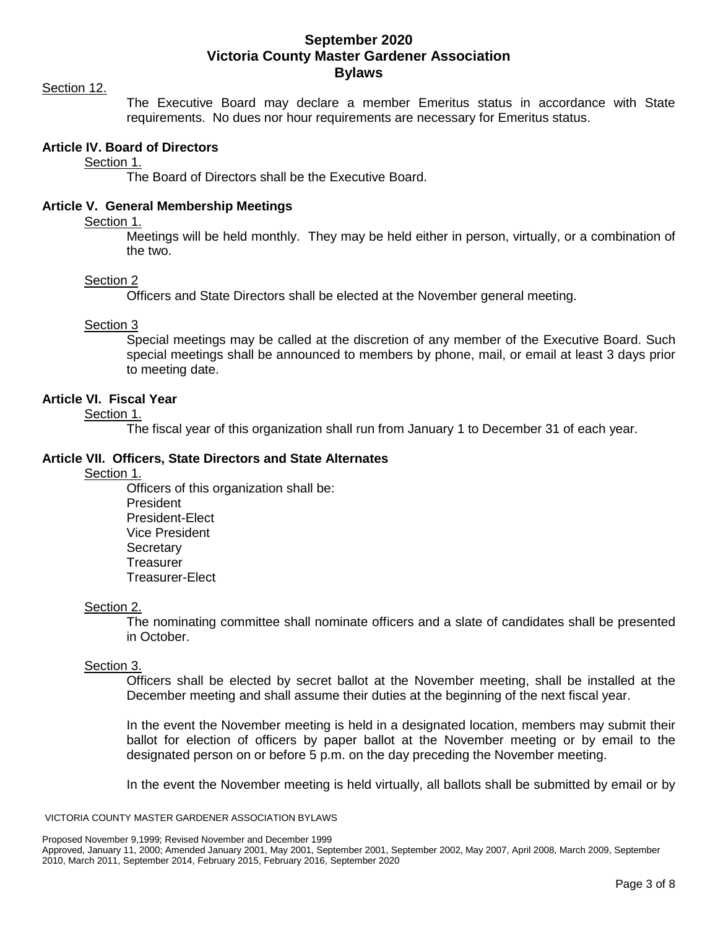#### Section 12.

The Executive Board may declare a member Emeritus status in accordance with State requirements. No dues nor hour requirements are necessary for Emeritus status.

### **Article IV. Board of Directors**

Section 1.

The Board of Directors shall be the Executive Board.

# **Article V. General Membership Meetings**

Section 1.

Meetings will be held monthly. They may be held either in person, virtually, or a combination of the two.

#### Section 2

Officers and State Directors shall be elected at the November general meeting.

### Section 3

Special meetings may be called at the discretion of any member of the Executive Board. Such special meetings shall be announced to members by phone, mail, or email at least 3 days prior to meeting date.

# **Article VI. Fiscal Year**

Section 1.

The fiscal year of this organization shall run from January 1 to December 31 of each year.

### **Article VII. Officers, State Directors and State Alternates**

Section 1.

Officers of this organization shall be: President President-Elect Vice President **Secretary Treasurer** Treasurer-Elect

### Section 2.

The nominating committee shall nominate officers and a slate of candidates shall be presented in October.

### Section 3.

Officers shall be elected by secret ballot at the November meeting, shall be installed at the December meeting and shall assume their duties at the beginning of the next fiscal year.

In the event the November meeting is held in a designated location, members may submit their ballot for election of officers by paper ballot at the November meeting or by email to the designated person on or before 5 p.m. on the day preceding the November meeting.

In the event the November meeting is held virtually, all ballots shall be submitted by email or by

#### VICTORIA COUNTY MASTER GARDENER ASSOCIATION BYLAWS

Proposed November 9,1999; Revised November and December 1999

Approved, January 11, 2000; Amended January 2001, May 2001, September 2001, September 2002, May 2007, April 2008, March 2009, September 2010, March 2011, September 2014, February 2015, February 2016, September 2020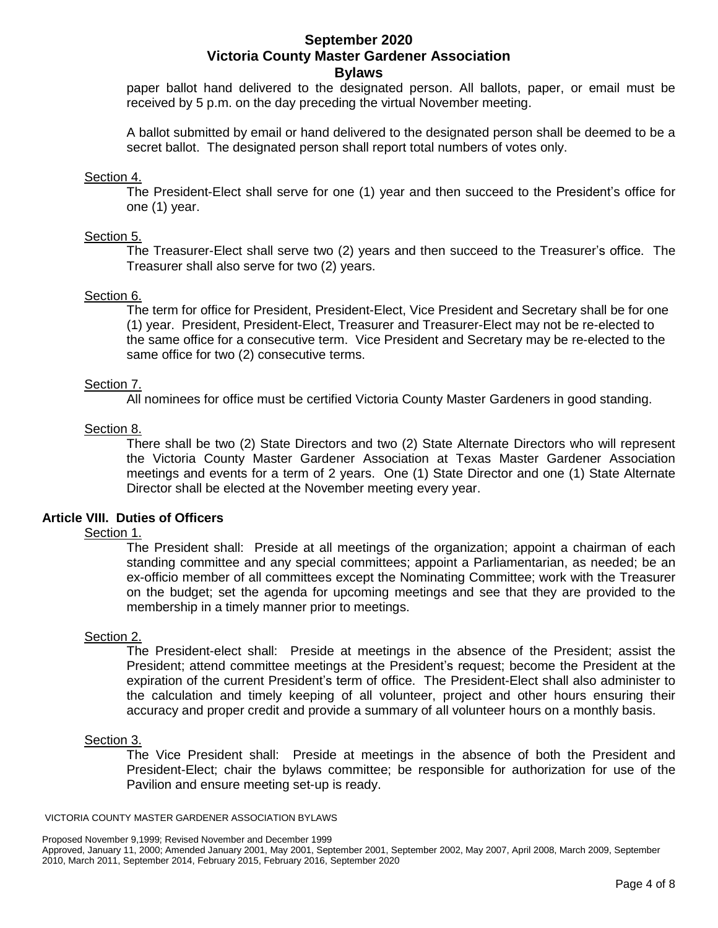paper ballot hand delivered to the designated person. All ballots, paper, or email must be received by 5 p.m. on the day preceding the virtual November meeting.

A ballot submitted by email or hand delivered to the designated person shall be deemed to be a secret ballot. The designated person shall report total numbers of votes only.

## Section 4.

The President-Elect shall serve for one (1) year and then succeed to the President's office for one (1) year.

# Section 5.

The Treasurer-Elect shall serve two (2) years and then succeed to the Treasurer's office. The Treasurer shall also serve for two (2) years.

### Section 6.

The term for office for President, President-Elect, Vice President and Secretary shall be for one (1) year. President, President-Elect, Treasurer and Treasurer-Elect may not be re-elected to the same office for a consecutive term. Vice President and Secretary may be re-elected to the same office for two (2) consecutive terms.

# Section 7.

All nominees for office must be certified Victoria County Master Gardeners in good standing.

# Section 8.

There shall be two (2) State Directors and two (2) State Alternate Directors who will represent the Victoria County Master Gardener Association at Texas Master Gardener Association meetings and events for a term of 2 years. One (1) State Director and one (1) State Alternate Director shall be elected at the November meeting every year.

### **Article VIII. Duties of Officers**

## Section 1.

The President shall: Preside at all meetings of the organization; appoint a chairman of each standing committee and any special committees; appoint a Parliamentarian, as needed; be an ex-officio member of all committees except the Nominating Committee; work with the Treasurer on the budget; set the agenda for upcoming meetings and see that they are provided to the membership in a timely manner prior to meetings.

### Section 2.

The President-elect shall: Preside at meetings in the absence of the President; assist the President; attend committee meetings at the President's request; become the President at the expiration of the current President's term of office. The President-Elect shall also administer to the calculation and timely keeping of all volunteer, project and other hours ensuring their accuracy and proper credit and provide a summary of all volunteer hours on a monthly basis.

### Section 3.

The Vice President shall: Preside at meetings in the absence of both the President and President-Elect; chair the bylaws committee; be responsible for authorization for use of the Pavilion and ensure meeting set-up is ready.

#### VICTORIA COUNTY MASTER GARDENER ASSOCIATION BYLAWS

Approved, January 11, 2000; Amended January 2001, May 2001, September 2001, September 2002, May 2007, April 2008, March 2009, September 2010, March 2011, September 2014, February 2015, February 2016, September 2020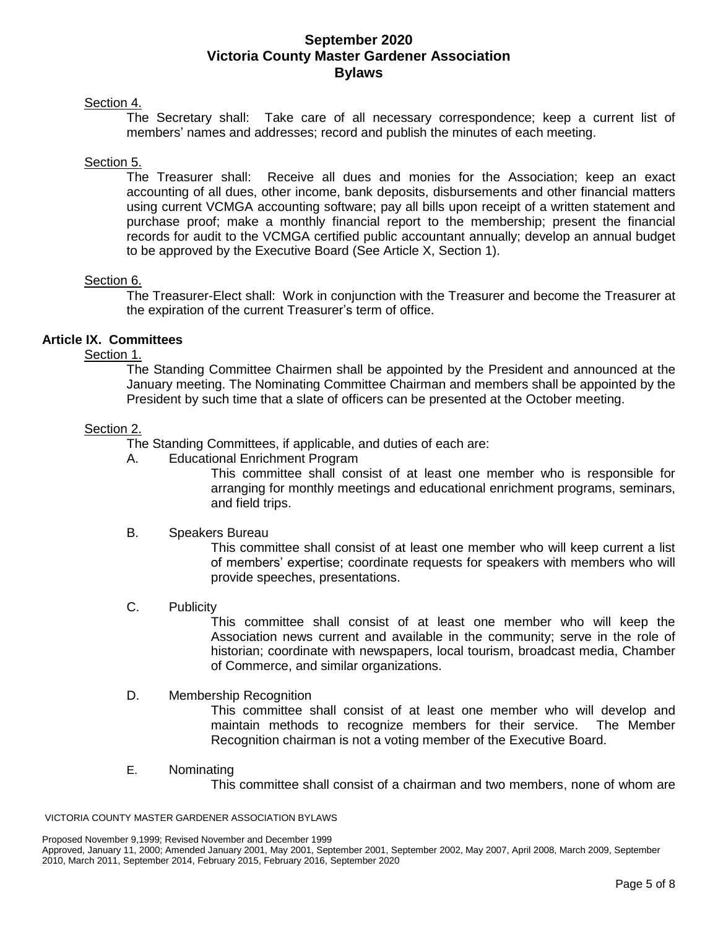# Section 4.

The Secretary shall: Take care of all necessary correspondence; keep a current list of members' names and addresses; record and publish the minutes of each meeting.

# Section 5.

The Treasurer shall: Receive all dues and monies for the Association; keep an exact accounting of all dues, other income, bank deposits, disbursements and other financial matters using current VCMGA accounting software; pay all bills upon receipt of a written statement and purchase proof; make a monthly financial report to the membership; present the financial records for audit to the VCMGA certified public accountant annually; develop an annual budget to be approved by the Executive Board (See Article X, Section 1).

# Section 6.

The Treasurer-Elect shall: Work in conjunction with the Treasurer and become the Treasurer at the expiration of the current Treasurer's term of office.

# **Article IX. Committees**

Section 1.

The Standing Committee Chairmen shall be appointed by the President and announced at the January meeting. The Nominating Committee Chairman and members shall be appointed by the President by such time that a slate of officers can be presented at the October meeting.

### Section 2.

The Standing Committees, if applicable, and duties of each are:

A. Educational Enrichment Program

This committee shall consist of at least one member who is responsible for arranging for monthly meetings and educational enrichment programs, seminars, and field trips.

### B. Speakers Bureau

This committee shall consist of at least one member who will keep current a list of members' expertise; coordinate requests for speakers with members who will provide speeches, presentations.

### C. Publicity

This committee shall consist of at least one member who will keep the Association news current and available in the community; serve in the role of historian; coordinate with newspapers, local tourism, broadcast media, Chamber of Commerce, and similar organizations.

### D. Membership Recognition

This committee shall consist of at least one member who will develop and maintain methods to recognize members for their service. The Member Recognition chairman is not a voting member of the Executive Board.

E. Nominating

This committee shall consist of a chairman and two members, none of whom are

VICTORIA COUNTY MASTER GARDENER ASSOCIATION BYLAWS

Approved, January 11, 2000; Amended January 2001, May 2001, September 2001, September 2002, May 2007, April 2008, March 2009, September 2010, March 2011, September 2014, February 2015, February 2016, September 2020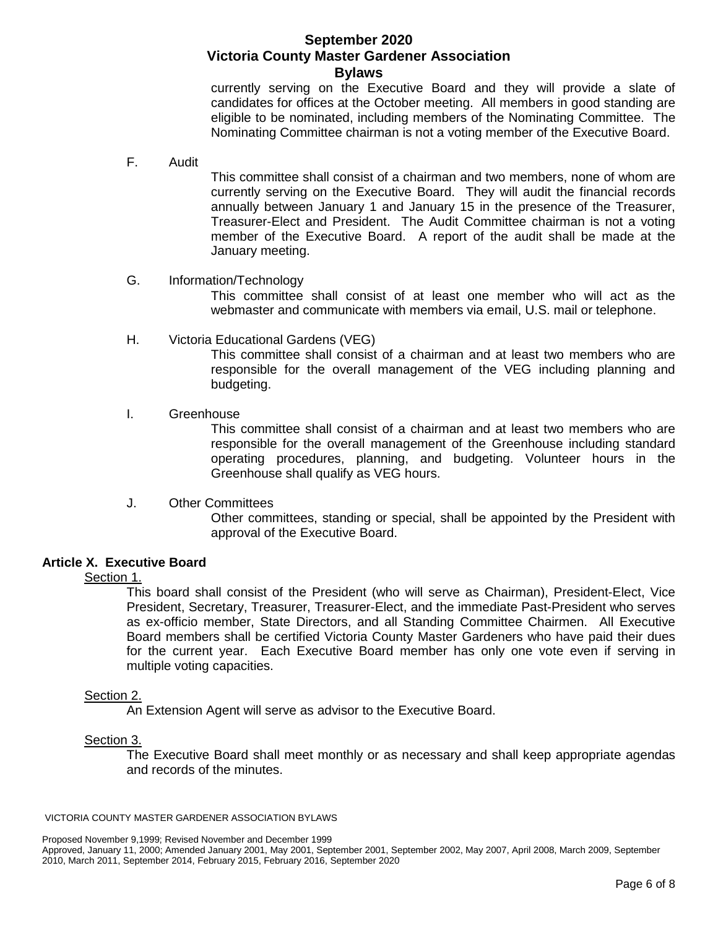currently serving on the Executive Board and they will provide a slate of candidates for offices at the October meeting. All members in good standing are eligible to be nominated, including members of the Nominating Committee. The Nominating Committee chairman is not a voting member of the Executive Board.

F. Audit

This committee shall consist of a chairman and two members, none of whom are currently serving on the Executive Board. They will audit the financial records annually between January 1 and January 15 in the presence of the Treasurer, Treasurer-Elect and President. The Audit Committee chairman is not a voting member of the Executive Board. A report of the audit shall be made at the January meeting.

### G. Information/Technology

This committee shall consist of at least one member who will act as the webmaster and communicate with members via email, U.S. mail or telephone.

H. Victoria Educational Gardens (VEG)

This committee shall consist of a chairman and at least two members who are responsible for the overall management of the VEG including planning and budgeting.

I. Greenhouse

This committee shall consist of a chairman and at least two members who are responsible for the overall management of the Greenhouse including standard operating procedures, planning, and budgeting. Volunteer hours in the Greenhouse shall qualify as VEG hours.

J. Other Committees

Other committees, standing or special, shall be appointed by the President with approval of the Executive Board.

# **Article X. Executive Board**

# Section 1.

This board shall consist of the President (who will serve as Chairman), President-Elect, Vice President, Secretary, Treasurer, Treasurer-Elect, and the immediate Past-President who serves as ex-officio member, State Directors, and all Standing Committee Chairmen. All Executive Board members shall be certified Victoria County Master Gardeners who have paid their dues for the current year. Each Executive Board member has only one vote even if serving in multiple voting capacities.

# Section 2.

An Extension Agent will serve as advisor to the Executive Board.

### Section 3.

The Executive Board shall meet monthly or as necessary and shall keep appropriate agendas and records of the minutes.

#### VICTORIA COUNTY MASTER GARDENER ASSOCIATION BYLAWS

Approved, January 11, 2000; Amended January 2001, May 2001, September 2001, September 2002, May 2007, April 2008, March 2009, September 2010, March 2011, September 2014, February 2015, February 2016, September 2020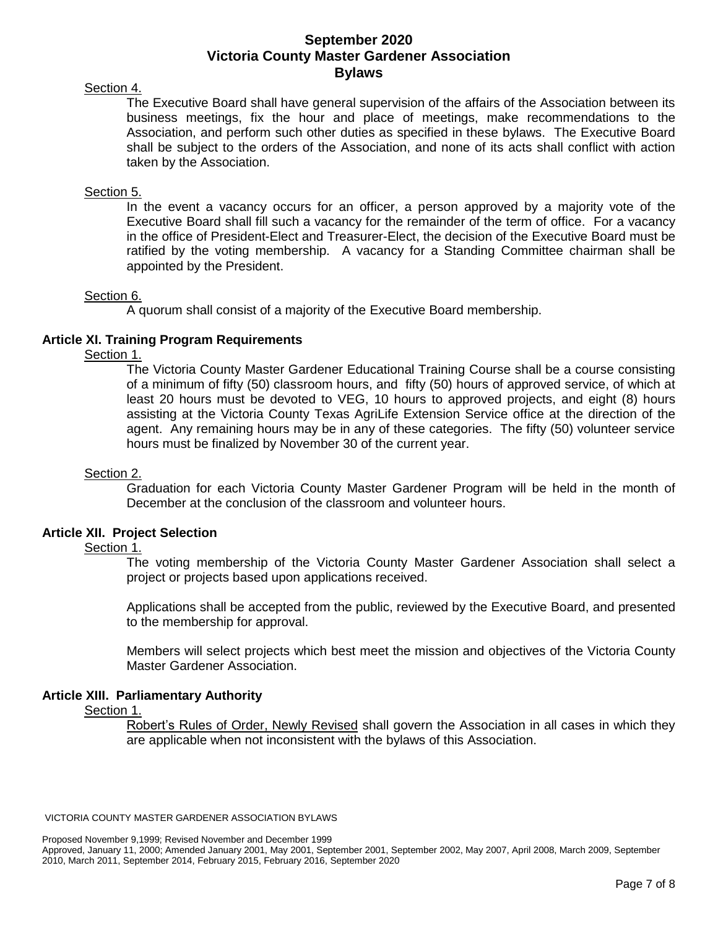# Section 4.

The Executive Board shall have general supervision of the affairs of the Association between its business meetings, fix the hour and place of meetings, make recommendations to the Association, and perform such other duties as specified in these bylaws. The Executive Board shall be subject to the orders of the Association, and none of its acts shall conflict with action taken by the Association.

# Section 5.

In the event a vacancy occurs for an officer, a person approved by a majority vote of the Executive Board shall fill such a vacancy for the remainder of the term of office. For a vacancy in the office of President-Elect and Treasurer-Elect, the decision of the Executive Board must be ratified by the voting membership. A vacancy for a Standing Committee chairman shall be appointed by the President.

### Section 6.

A quorum shall consist of a majority of the Executive Board membership.

# **Article XI. Training Program Requirements**

Section 1.

The Victoria County Master Gardener Educational Training Course shall be a course consisting of a minimum of fifty (50) classroom hours, and fifty (50) hours of approved service, of which at least 20 hours must be devoted to VEG, 10 hours to approved projects, and eight (8) hours assisting at the Victoria County Texas AgriLife Extension Service office at the direction of the agent. Any remaining hours may be in any of these categories. The fifty (50) volunteer service hours must be finalized by November 30 of the current year.

### Section 2.

Graduation for each Victoria County Master Gardener Program will be held in the month of December at the conclusion of the classroom and volunteer hours.

### **Article XII. Project Selection**

## Section 1.

The voting membership of the Victoria County Master Gardener Association shall select a project or projects based upon applications received.

Applications shall be accepted from the public, reviewed by the Executive Board, and presented to the membership for approval.

Members will select projects which best meet the mission and objectives of the Victoria County Master Gardener Association.

### **Article XIII. Parliamentary Authority**

Section 1.

Robert's Rules of Order, Newly Revised shall govern the Association in all cases in which they are applicable when not inconsistent with the bylaws of this Association.

VICTORIA COUNTY MASTER GARDENER ASSOCIATION BYLAWS

Proposed November 9,1999; Revised November and December 1999

Approved, January 11, 2000; Amended January 2001, May 2001, September 2001, September 2002, May 2007, April 2008, March 2009, September 2010, March 2011, September 2014, February 2015, February 2016, September 2020